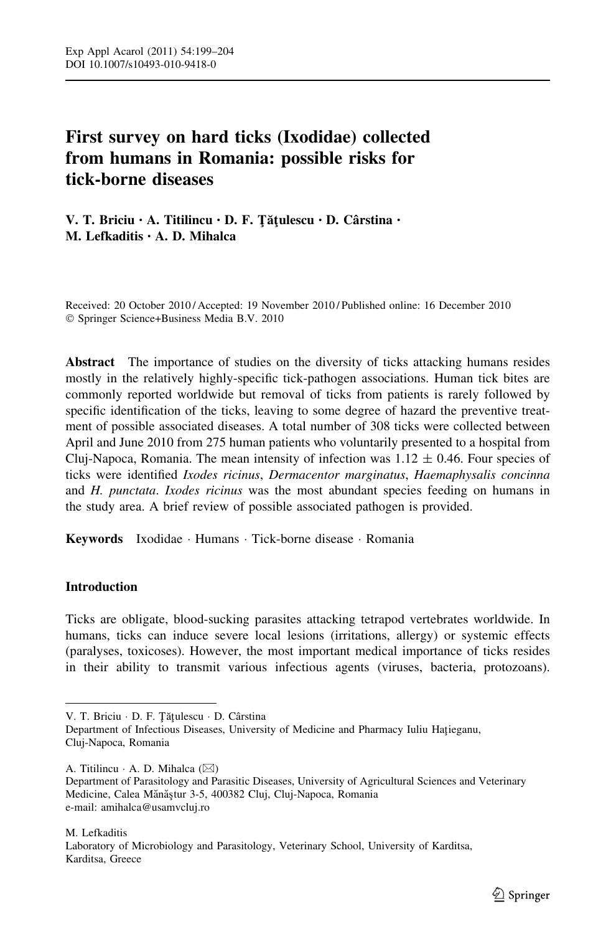# First survey on hard ticks (Ixodidae) collected from humans in Romania: possible risks for tick-borne diseases

V. T. Briciu · A. Titilincu · D. F. Țățulescu · D. Cârstina · M. Lefkaditis • A. D. Mihalca

Received: 20 October 2010 / Accepted: 19 November 2010 / Published online: 16 December 2010 - Springer Science+Business Media B.V. 2010

Abstract The importance of studies on the diversity of ticks attacking humans resides mostly in the relatively highly-specific tick-pathogen associations. Human tick bites are commonly reported worldwide but removal of ticks from patients is rarely followed by specific identification of the ticks, leaving to some degree of hazard the preventive treatment of possible associated diseases. A total number of 308 ticks were collected between April and June 2010 from 275 human patients who voluntarily presented to a hospital from Cluj-Napoca, Romania. The mean intensity of infection was  $1.12 \pm 0.46$ . Four species of ticks were identified Ixodes ricinus, Dermacentor marginatus, Haemaphysalis concinna and H. punctata. Ixodes ricinus was the most abundant species feeding on humans in the study area. A brief review of possible associated pathogen is provided.

Keywords Ixodidae - Humans - Tick-borne disease - Romania

# Introduction

Ticks are obligate, blood-sucking parasites attacking tetrapod vertebrates worldwide. In humans, ticks can induce severe local lesions (irritations, allergy) or systemic effects (paralyses, toxicoses). However, the most important medical importance of ticks resides in their ability to transmit various infectious agents (viruses, bacteria, protozoans).

V. T. Briciu · D. F. Țățulescu · D. Cârstina

Department of Infectious Diseases, University of Medicine and Pharmacy Iuliu Hațieganu, Cluj-Napoca, Romania

A. Titilincu  $\cdot$  A. D. Mihalca ( $\boxtimes$ )

Department of Parasitology and Parasitic Diseases, University of Agricultural Sciences and Veterinary Medicine, Calea Mănăştur 3-5, 400382 Cluj, Cluj-Napoca, Romania e-mail: amihalca@usamvcluj.ro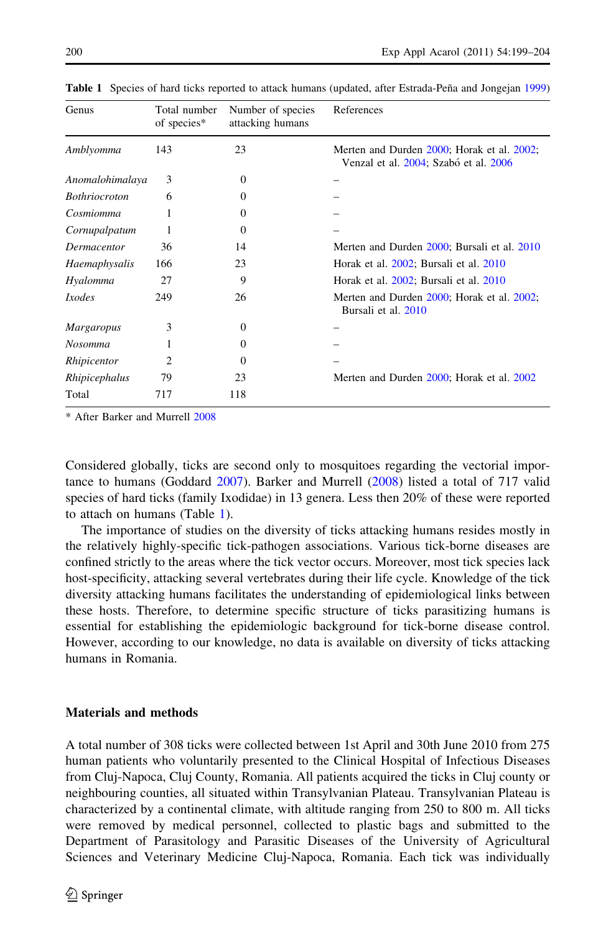| Genus                | Total number<br>of species* | Number of species<br>attacking humans | References                                                                          |
|----------------------|-----------------------------|---------------------------------------|-------------------------------------------------------------------------------------|
| Amblyomma            | 143                         | 23                                    | Merten and Durden 2000; Horak et al. 2002;<br>Venzal et al. 2004; Szabó et al. 2006 |
| Anomalohimalaya      | 3                           | $\Omega$                              |                                                                                     |
| <b>Bothriocroton</b> | 6                           | 0                                     |                                                                                     |
| Cosmiomma            |                             | 0                                     |                                                                                     |
| Cornupalpatum        |                             | $\Omega$                              |                                                                                     |
| Dermacentor          | 36                          | 14                                    | Merten and Durden 2000; Bursali et al. 2010                                         |
| Haemaphysalis        | 166                         | 23                                    | Horak et al. 2002; Bursali et al. 2010                                              |
| Hyalomma             | 27                          | 9                                     | Horak et al. 2002; Bursali et al. 2010                                              |
| <i>Ixodes</i>        | 249                         | 26                                    | Merten and Durden 2000; Horak et al. 2002;<br>Bursali et al. 2010                   |
| <b>Margaropus</b>    | 3                           | $\Omega$                              |                                                                                     |
| <b>Nosomma</b>       |                             | 0                                     |                                                                                     |
| Rhipicentor          | 2                           | 0                                     |                                                                                     |
| Rhipicephalus        | 79                          | 23                                    | Merten and Durden 2000; Horak et al. 2002                                           |
| Total                | 717                         | 118                                   |                                                                                     |

Table 1 Species of hard ticks reported to attack humans (updated, after Estrada-Peña and Jongejan [1999\)](#page-4-0)

\* After Barker and Murrell [2008](#page-4-0)

Considered globally, ticks are second only to mosquitoes regarding the vectorial importance to humans (Goddard [2007\)](#page-4-0). Barker and Murrell ([2008](#page-4-0)) listed a total of 717 valid species of hard ticks (family Ixodidae) in 13 genera. Less then 20% of these were reported to attach on humans (Table 1).

The importance of studies on the diversity of ticks attacking humans resides mostly in the relatively highly-specific tick-pathogen associations. Various tick-borne diseases are confined strictly to the areas where the tick vector occurs. Moreover, most tick species lack host-specificity, attacking several vertebrates during their life cycle. Knowledge of the tick diversity attacking humans facilitates the understanding of epidemiological links between these hosts. Therefore, to determine specific structure of ticks parasitizing humans is essential for establishing the epidemiologic background for tick-borne disease control. However, according to our knowledge, no data is available on diversity of ticks attacking humans in Romania.

### Materials and methods

A total number of 308 ticks were collected between 1st April and 30th June 2010 from 275 human patients who voluntarily presented to the Clinical Hospital of Infectious Diseases from Cluj-Napoca, Cluj County, Romania. All patients acquired the ticks in Cluj county or neighbouring counties, all situated within Transylvanian Plateau. Transylvanian Plateau is characterized by a continental climate, with altitude ranging from 250 to 800 m. All ticks were removed by medical personnel, collected to plastic bags and submitted to the Department of Parasitology and Parasitic Diseases of the University of Agricultural Sciences and Veterinary Medicine Cluj-Napoca, Romania. Each tick was individually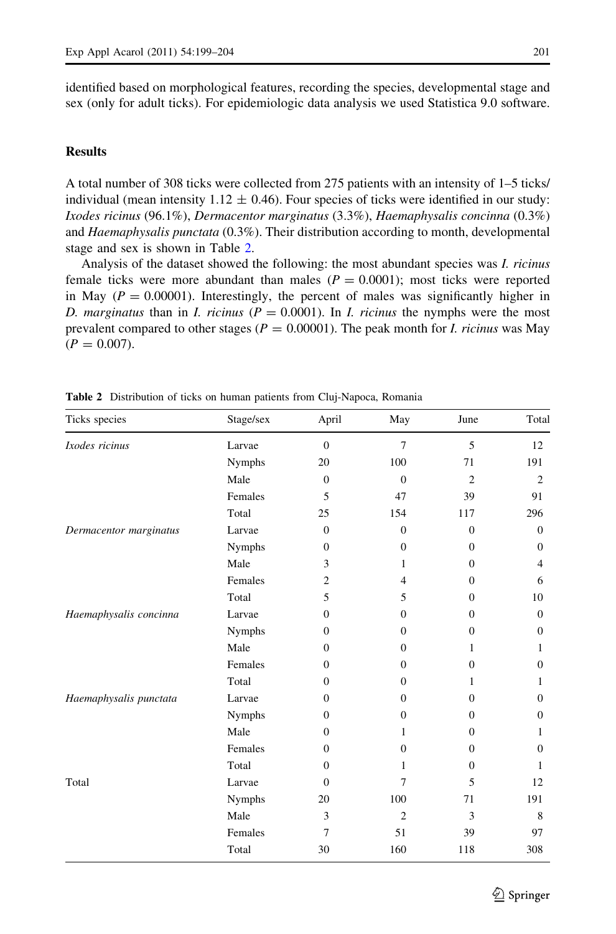identified based on morphological features, recording the species, developmental stage and sex (only for adult ticks). For epidemiologic data analysis we used Statistica 9.0 software.

# **Results**

A total number of 308 ticks were collected from 275 patients with an intensity of 1–5 ticks/ individual (mean intensity 1.12  $\pm$  0.46). Four species of ticks were identified in our study: Ixodes ricinus (96.1%), Dermacentor marginatus (3.3%), Haemaphysalis concinna (0.3%) and *Haemaphysalis punctata* (0.3%). Their distribution according to month, developmental stage and sex is shown in Table 2.

Analysis of the dataset showed the following: the most abundant species was I. ricinus female ticks were more abundant than males  $(P = 0.0001)$ ; most ticks were reported in May ( $P = 0.00001$ ). Interestingly, the percent of males was significantly higher in D. marginatus than in I. ricinus ( $P = 0.0001$ ). In I. ricinus the nymphs were the most prevalent compared to other stages ( $P = 0.00001$ ). The peak month for *I. ricinus* was May  $(P = 0.007)$ .

| Ticks species          | Stage/sex     | April            | May              | June           | Total          |
|------------------------|---------------|------------------|------------------|----------------|----------------|
| Ixodes ricinus         | Larvae        | $\mathbf{0}$     | $\overline{7}$   | 5              | 12             |
|                        | Nymphs        | 20               | 100              | 71             | 191            |
|                        | Male          | $\mathbf{0}$     | $\mathbf{0}$     | $\overline{2}$ | $\overline{c}$ |
|                        | Females       | 5                | 47               | 39             | 91             |
|                        | Total         | 25               | 154              | 117            | 296            |
| Dermacentor marginatus | Larvae        | $\overline{0}$   | $\mathbf{0}$     | $\overline{0}$ | $\overline{0}$ |
|                        | Nymphs        | $\boldsymbol{0}$ | $\boldsymbol{0}$ | $\overline{0}$ | $\mathbf{0}$   |
|                        | Male          | 3                | 1                | $\mathbf{0}$   | $\overline{4}$ |
|                        | Females       | $\overline{c}$   | $\overline{4}$   | $\mathbf{0}$   | 6              |
|                        | Total         | 5                | 5                | $\Omega$       | 10             |
| Haemaphysalis concinna | Larvae        | $\mathbf{0}$     | $\boldsymbol{0}$ | $\mathbf{0}$   | $\mathbf{0}$   |
|                        | <b>Nymphs</b> | $\mathbf{0}$     | $\mathbf{0}$     | $\mathbf{0}$   | $\mathbf{0}$   |
|                        | Male          | $\boldsymbol{0}$ | $\boldsymbol{0}$ | 1              | 1              |
|                        | Females       | $\mathbf{0}$     | $\mathbf{0}$     | $\mathbf{0}$   | $\theta$       |
|                        | Total         | $\mathbf{0}$     | $\mathbf{0}$     | 1              | 1              |
| Haemaphysalis punctata | Larvae        | $\mathbf{0}$     | $\mathbf{0}$     | $\mathbf{0}$   | $\mathbf{0}$   |
|                        | <b>Nymphs</b> | $\mathbf{0}$     | $\mathbf{0}$     | $\mathbf{0}$   | $\theta$       |
|                        | Male          | $\boldsymbol{0}$ | 1                | $\mathbf{0}$   | 1              |
|                        | Females       | $\mathbf{0}$     | $\mathbf{0}$     | $\mathbf{0}$   | $\theta$       |
|                        | Total         | $\boldsymbol{0}$ | 1                | $\mathbf{0}$   | 1              |
| Total                  | Larvae        | $\mathbf{0}$     | $\overline{7}$   | 5              | 12             |
|                        | <b>Nymphs</b> | 20               | 100              | 71             | 191            |
|                        | Male          | 3                | $\overline{2}$   | 3              | 8              |
|                        | Females       | 7                | 51               | 39             | 97             |
|                        | Total         | 30               | 160              | 118            | 308            |

Table 2 Distribution of ticks on human patients from Cluj-Napoca, Romania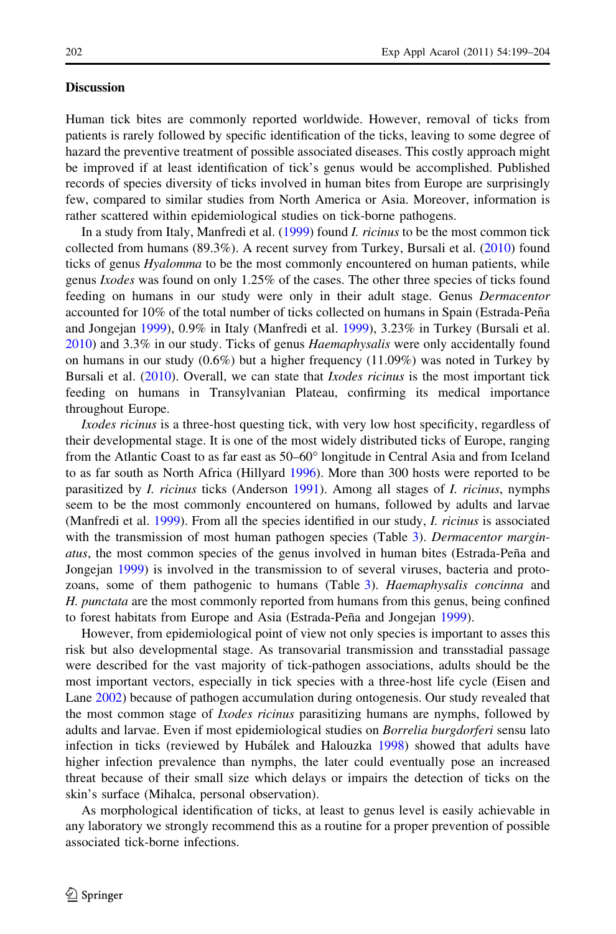#### **Discussion**

Human tick bites are commonly reported worldwide. However, removal of ticks from patients is rarely followed by specific identification of the ticks, leaving to some degree of hazard the preventive treatment of possible associated diseases. This costly approach might be improved if at least identification of tick's genus would be accomplished. Published records of species diversity of ticks involved in human bites from Europe are surprisingly few, compared to similar studies from North America or Asia. Moreover, information is rather scattered within epidemiological studies on tick-borne pathogens.

In a study from Italy, Manfredi et al. ([1999\)](#page-5-0) found *I. ricinus* to be the most common tick collected from humans (89.3%). A recent survey from Turkey, Bursali et al. ([2010\)](#page-4-0) found ticks of genus *Hyalomma* to be the most commonly encountered on human patients, while genus Ixodes was found on only 1.25% of the cases. The other three species of ticks found feeding on humans in our study were only in their adult stage. Genus Dermacentor accounted for 10% of the total number of ticks collected on humans in Spain (Estrada-Peña and Jongejan [1999\)](#page-4-0), 0.9% in Italy (Manfredi et al. [1999](#page-5-0)), 3.23% in Turkey (Bursali et al. [2010\)](#page-4-0) and 3.3% in our study. Ticks of genus Haemaphysalis were only accidentally found on humans in our study  $(0.6\%)$  but a higher frequency  $(11.09\%)$  was noted in Turkey by Bursali et al. [\(2010](#page-4-0)). Overall, we can state that *Ixodes ricinus* is the most important tick feeding on humans in Transylvanian Plateau, confirming its medical importance throughout Europe.

Ixodes ricinus is a three-host questing tick, with very low host specificity, regardless of their developmental stage. It is one of the most widely distributed ticks of Europe, ranging from the Atlantic Coast to as far east as 50–60° longitude in Central Asia and from Iceland to as far south as North Africa (Hillyard [1996\)](#page-4-0). More than 300 hosts were reported to be parasitized by *I. ricinus* ticks (Anderson [1991](#page-4-0)). Among all stages of *I. ricinus*, nymphs seem to be the most commonly encountered on humans, followed by adults and larvae (Manfredi et al. [1999\)](#page-5-0). From all the species identified in our study, *I. ricinus* is associated with the transmission of most human pathogen species (Table [3\)](#page-4-0). Dermacentor margin*atus*, the most common species of the genus involved in human bites (Estrada-Peña and Jongejan [1999\)](#page-4-0) is involved in the transmission to of several viruses, bacteria and proto-zoans, some of them pathogenic to humans (Table [3\)](#page-4-0). Haemaphysalis concinna and H. punctata are the most commonly reported from humans from this genus, being confined to forest habitats from Europe and Asia (Estrada-Peña and Jongejan [1999](#page-4-0)).

However, from epidemiological point of view not only species is important to asses this risk but also developmental stage. As transovarial transmission and transstadial passage were described for the vast majority of tick-pathogen associations, adults should be the most important vectors, especially in tick species with a three-host life cycle (Eisen and Lane [2002](#page-4-0)) because of pathogen accumulation during ontogenesis. Our study revealed that the most common stage of *Ixodes ricinus* parasitizing humans are nymphs, followed by adults and larvae. Even if most epidemiological studies on Borrelia burgdorferi sensu lato infection in ticks (reviewed by Hubálek and Halouzka [1998\)](#page-5-0) showed that adults have higher infection prevalence than nymphs, the later could eventually pose an increased threat because of their small size which delays or impairs the detection of ticks on the skin's surface (Mihalca, personal observation).

As morphological identification of ticks, at least to genus level is easily achievable in any laboratory we strongly recommend this as a routine for a proper prevention of possible associated tick-borne infections.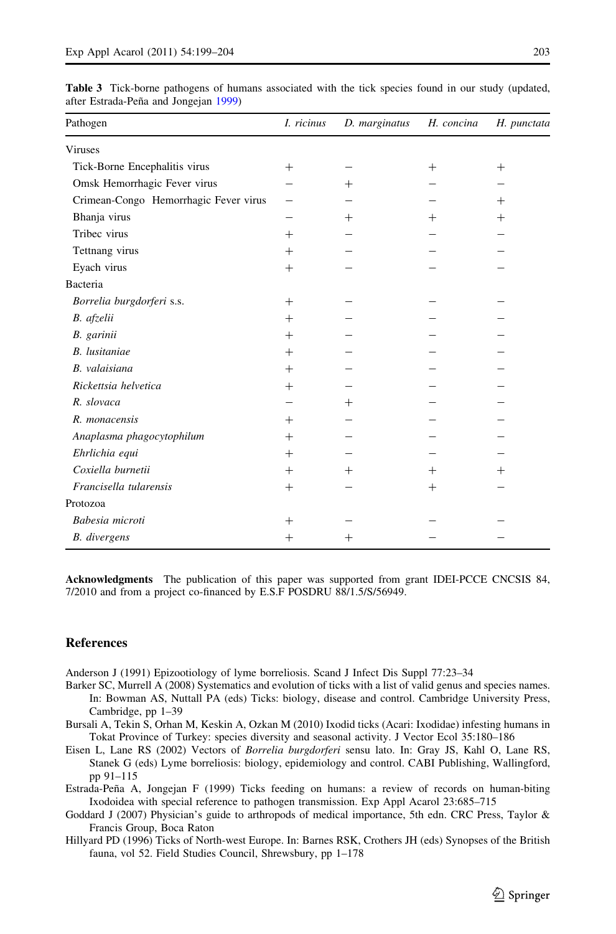| Pathogen                              | I. ricinus         | D. marginatus | H. concina | H. punctata |
|---------------------------------------|--------------------|---------------|------------|-------------|
| <b>Viruses</b>                        |                    |               |            |             |
| Tick-Borne Encephalitis virus         | $^{+}$             |               | $^{+}$     | $^{+}$      |
| Omsk Hemorrhagic Fever virus          |                    | $^{+}$        |            |             |
| Crimean-Congo Hemorrhagic Fever virus |                    |               |            | $^{+}$      |
| Bhanja virus                          |                    | $+$           | $^{+}$     | $^{+}$      |
| Tribec virus                          | $^{+}$             |               |            |             |
| Tettnang virus                        | $^{+}$             |               |            |             |
| Eyach virus                           | $^{+}$             |               |            |             |
| Bacteria                              |                    |               |            |             |
| Borrelia burgdorferi s.s.             | $^{+}$             |               |            |             |
| B. afzelii                            | $+$                |               |            |             |
| B. garinii                            | $+$                |               |            |             |
| <b>B.</b> lusitaniae                  | $+$                |               |            |             |
| B. valaisiana                         | $+$                |               |            |             |
| Rickettsia helvetica                  | $^{+}$             |               |            |             |
| R. slovaca                            |                    | $^{+}$        |            |             |
| R. monacensis                         | $^{+}$             |               |            |             |
| Anaplasma phagocytophilum             | $+$                |               |            |             |
| Ehrlichia equi                        | $^{+}$             |               |            |             |
| Coxiella burnetii                     | $^{+}$             | $^{+}$        | $^{+}$     | $^{+}$      |
| Francisella tularensis                | $^{+}$             |               | $^{+}$     |             |
| Protozoa                              |                    |               |            |             |
| Babesia microti                       | $^{+}$             |               |            |             |
| <b>B.</b> divergens                   | $\hspace{0.1mm} +$ | $^{+}$        |            |             |

<span id="page-4-0"></span>Table 3 Tick-borne pathogens of humans associated with the tick species found in our study (updated, after Estrada-Peña and Jongejan 1999)

Acknowledgments The publication of this paper was supported from grant IDEI-PCCE CNCSIS 84, 7/2010 and from a project co-financed by E.S.F POSDRU 88/1.5/S/56949.

### **References**

Anderson J (1991) Epizootiology of lyme borreliosis. Scand J Infect Dis Suppl 77:23–34

- Barker SC, Murrell A (2008) Systematics and evolution of ticks with a list of valid genus and species names. In: Bowman AS, Nuttall PA (eds) Ticks: biology, disease and control. Cambridge University Press, Cambridge, pp 1–39
- Bursali A, Tekin S, Orhan M, Keskin A, Ozkan M (2010) Ixodid ticks (Acari: Ixodidae) infesting humans in Tokat Province of Turkey: species diversity and seasonal activity. J Vector Ecol 35:180–186
- Eisen L, Lane RS (2002) Vectors of Borrelia burgdorferi sensu lato. In: Gray JS, Kahl O, Lane RS, Stanek G (eds) Lyme borreliosis: biology, epidemiology and control. CABI Publishing, Wallingford, pp 91–115
- Estrada-Peña A, Jongejan F (1999) Ticks feeding on humans: a review of records on human-biting Ixodoidea with special reference to pathogen transmission. Exp Appl Acarol 23:685–715
- Goddard J (2007) Physician's guide to arthropods of medical importance, 5th edn. CRC Press, Taylor & Francis Group, Boca Raton
- Hillyard PD (1996) Ticks of North-west Europe. In: Barnes RSK, Crothers JH (eds) Synopses of the British fauna, vol 52. Field Studies Council, Shrewsbury, pp 1–178